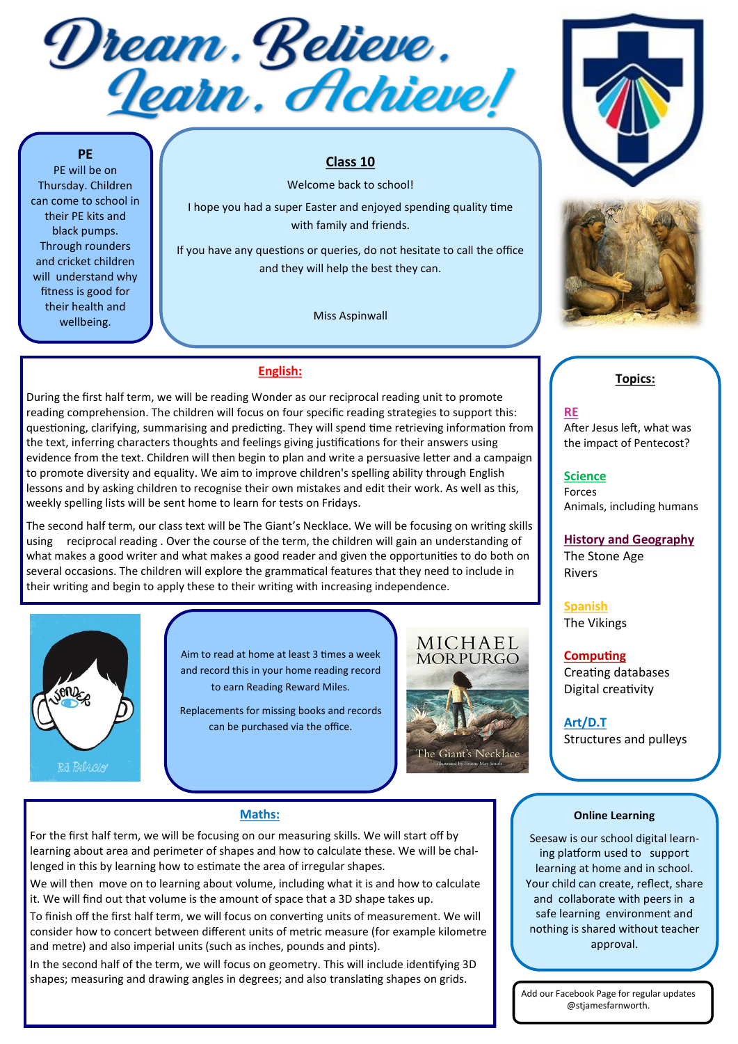Dream. Believe.<br><u>Iearn. Achieve!</u>

## **PE**

PE will be on Thursday. Children can come to school in their PE kits and black pumps. Through rounders and cricket children will understand why fitness is good for their health and wellbeing.

## **Class 10**

Welcome back to school! I hope you had a super Easter and enjoyed spending quality time with family and friends.

If you have any questions or queries, do not hesitate to call the office and they will help the best they can.

Miss Aspinwall





# **English:**

During the first half term, we will be reading Wonder as our reciprocal reading unit to promote reading comprehension. The children will focus on four specific reading strategies to support this: questioning, clarifying, summarising and predicting. They will spend time retrieving information from the text, inferring characters thoughts and feelings giving justifications for their answers using evidence from the text. Children will then begin to plan and write a persuasive letter and a campaign to promote diversity and equality. We aim to improve children's spelling ability through English lessons and by asking children to recognise their own mistakes and edit their work. As well as this, weekly spelling lists will be sent home to learn for tests on Fridays.

The second half term, our class text will be The Giant's Necklace. We will be focusing on writing skills using reciprocal reading . Over the course of the term, the children will gain an understanding of what makes a good writer and what makes a good reader and given the opportunities to do both on several occasions. The children will explore the grammatical features that they need to include in their writing and begin to apply these to their writing with increasing independence.



Aim to read at home at least 3 times a week and record this in your home reading record to earn Reading Reward Miles.

Replacements for missing books and records can be purchased via the office.



## **Maths:**

For the first half term, we will be focusing on our measuring skills. We will start off by learning about area and perimeter of shapes and how to calculate these. We will be challenged in this by learning how to estimate the area of irregular shapes.

We will then move on to learning about volume, including what it is and how to calculate it. We will find out that volume is the amount of space that a 3D shape takes up.

To finish off the first half term, we will focus on converting units of measurement. We will consider how to concert between different units of metric measure (for example kilometre and metre) and also imperial units (such as inches, pounds and pints).

In the second half of the term, we will focus on geometry. This will include identifying 3D shapes; measuring and drawing angles in degrees; and also translating shapes on grids.

## **Topics:**

## **RE**

After Jesus left, what was the impact of Pentecost?

**Science** Forces Animals, including humans

# **History and Geography**

The Stone Age Rivers

**Spanish** The Vikings

## **Computing** Creating databases Digital creativity

**Art/D.T**

Structures and pulleys

#### **Online Learning**

Seesaw is our school digital learning platform used to support learning at home and in school. Your child can create, reflect, share and collaborate with peers in a safe learning environment and nothing is shared without teacher approval.

Add our Facebook Page for regular updates @stjamesfarnworth.